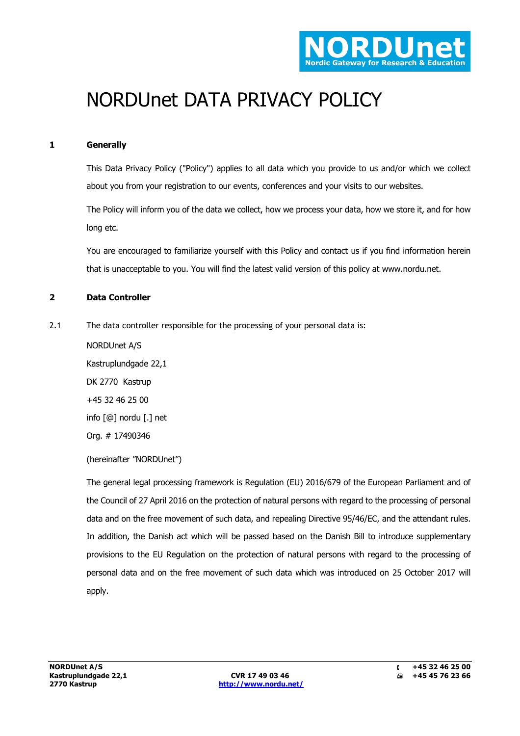

# NORDUnet DATA PRIVACY POLICY

# **1 Generally**

This Data Privacy Policy ("Policy") applies to all data which you provide to us and/or which we collect about you from your registration to our events, conferences and your visits to our websites.

The Policy will inform you of the data we collect, how we process your data, how we store it, and for how long etc.

You are encouraged to familiarize yourself with this Policy and contact us if you find information herein that is unacceptable to you. You will find the latest valid version of this policy at www.nordu.net.

## **2 Data Controller**

2.1 The data controller responsible for the processing of your personal data is:

NORDUnet A/S Kastruplundgade 22,1 DK 2770 Kastrup +45 32 46 25 00 info [@] nordu [.] net Org. # 17490346

(hereinafter "NORDUnet")

The general legal processing framework is Regulation (EU) 2016/679 of the European Parliament and of the Council of 27 April 2016 on the protection of natural persons with regard to the processing of personal data and on the free movement of such data, and repealing Directive 95/46/EC, and the attendant rules. In addition, the Danish act which will be passed based on the Danish Bill to introduce supplementary provisions to the EU Regulation on the protection of natural persons with regard to the processing of personal data and on the free movement of such data which was introduced on 25 October 2017 will apply.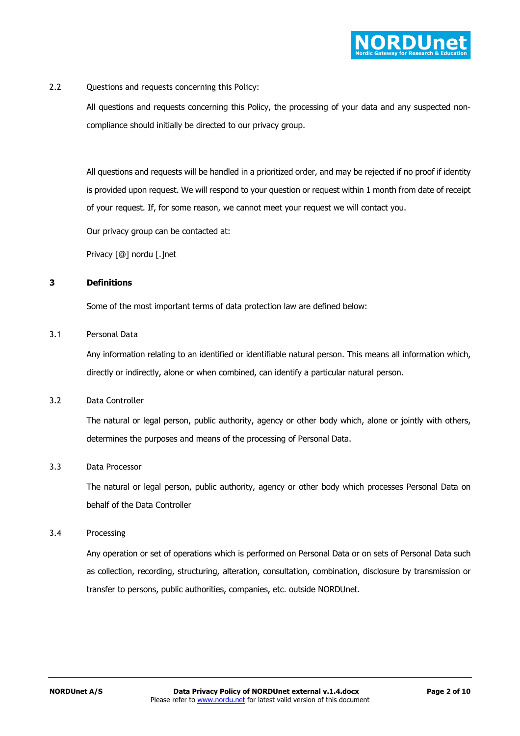

2.2 Questions and requests concerning this Policy:

All questions and requests concerning this Policy, the processing of your data and any suspected noncompliance should initially be directed to our privacy group.

All questions and requests will be handled in a prioritized order, and may be rejected if no proof if identity is provided upon request. We will respond to your question or request within 1 month from date of receipt of your request. If, for some reason, we cannot meet your request we will contact you.

Our privacy group can be contacted at:

Privacy [@] nordu [.]net

## **3 Definitions**

Some of the most important terms of data protection law are defined below:

#### 3.1 Personal Data

Any information relating to an identified or identifiable natural person. This means all information which, directly or indirectly, alone or when combined, can identify a particular natural person.

## 3.2 Data Controller

The natural or legal person, public authority, agency or other body which, alone or jointly with others, determines the purposes and means of the processing of Personal Data.

## 3.3 Data Processor

The natural or legal person, public authority, agency or other body which processes Personal Data on behalf of the Data Controller

#### 3.4 Processing

Any operation or set of operations which is performed on Personal Data or on sets of Personal Data such as collection, recording, structuring, alteration, consultation, combination, disclosure by transmission or transfer to persons, public authorities, companies, etc. outside NORDUnet.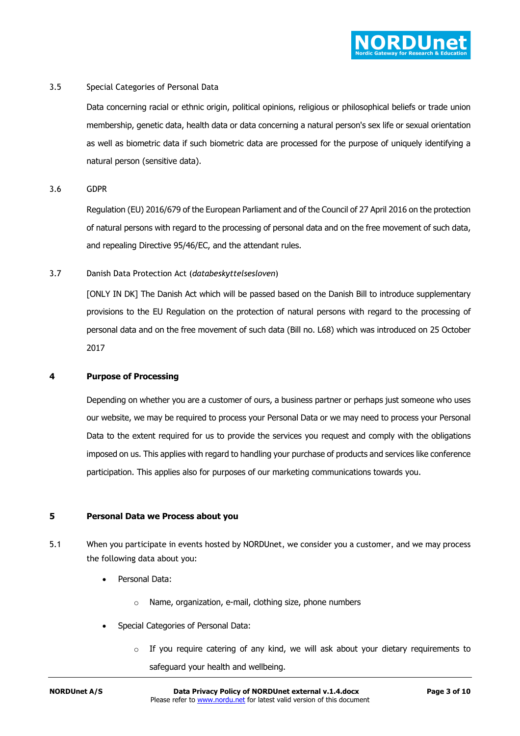

## 3.5 Special Categories of Personal Data

Data concerning racial or ethnic origin, political opinions, religious or philosophical beliefs or trade union membership, genetic data, health data or data concerning a natural person's sex life or sexual orientation as well as biometric data if such biometric data are processed for the purpose of uniquely identifying a natural person (sensitive data).

3.6 GDPR

Regulation (EU) 2016/679 of the European Parliament and of the Council of 27 April 2016 on the protection of natural persons with regard to the processing of personal data and on the free movement of such data, and repealing Directive 95/46/EC, and the attendant rules.

3.7 Danish Data Protection Act (*databeskyttelsesloven*)

[ONLY IN DK] The Danish Act which will be passed based on the Danish Bill to introduce supplementary provisions to the EU Regulation on the protection of natural persons with regard to the processing of personal data and on the free movement of such data (Bill no. L68) which was introduced on 25 October 2017

#### **4 Purpose of Processing**

Depending on whether you are a customer of ours, a business partner or perhaps just someone who uses our website, we may be required to process your Personal Data or we may need to process your Personal Data to the extent required for us to provide the services you request and comply with the obligations imposed on us. This applies with regard to handling your purchase of products and services like conference participation. This applies also for purposes of our marketing communications towards you.

#### **5 Personal Data we Process about you**

- 5.1 When you participate in events hosted by NORDUnet, we consider you a customer, and we may process the following data about you:
	- Personal Data:
		- o Name, organization, e-mail, clothing size, phone numbers
	- Special Categories of Personal Data:
		- $\circ$  If you require catering of any kind, we will ask about your dietary requirements to safeguard your health and wellbeing.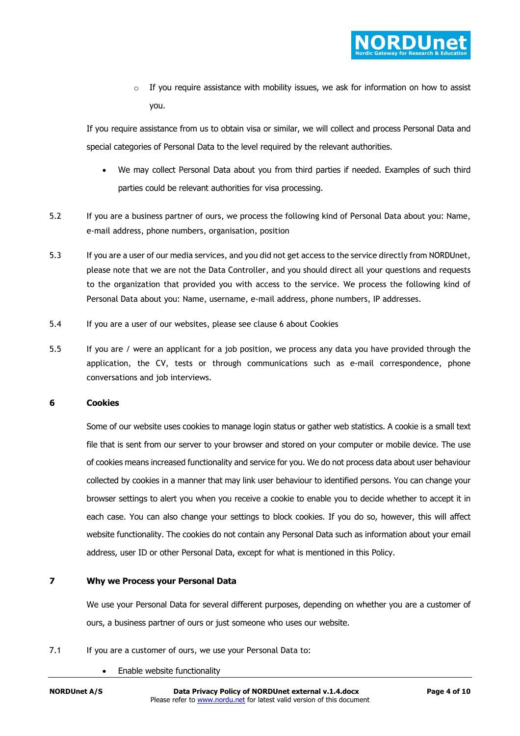o If you require assistance with mobility issues, we ask for information on how to assist you.

If you require assistance from us to obtain visa or similar, we will collect and process Personal Data and special categories of Personal Data to the level required by the relevant authorities.

- We may collect Personal Data about you from third parties if needed. Examples of such third parties could be relevant authorities for visa processing.
- 5.2 If you are a business partner of ours, we process the following kind of Personal Data about you: Name, e-mail address, phone numbers, organisation, position
- 5.3 If you are a user of our media services, and you did not get access to the service directly from NORDUnet, please note that we are not the Data Controller, and you should direct all your questions and requests to the organization that provided you with access to the service. We process the following kind of Personal Data about you: Name, username, e-mail address, phone numbers, IP addresses.
- 5.4 If you are a user of our websites, please see clause 6 about Cookies
- 5.5 If you are / were an applicant for a job position, we process any data you have provided through the application, the CV, tests or through communications such as e-mail correspondence, phone conversations and job interviews.

## **6 Cookies**

Some of our website uses cookies to manage login status or gather web statistics. A cookie is a small text file that is sent from our server to your browser and stored on your computer or mobile device. The use of cookies means increased functionality and service for you. We do not process data about user behaviour collected by cookies in a manner that may link user behaviour to identified persons. You can change your browser settings to alert you when you receive a cookie to enable you to decide whether to accept it in each case. You can also change your settings to block cookies. If you do so, however, this will affect website functionality. The cookies do not contain any Personal Data such as information about your email address, user ID or other Personal Data, except for what is mentioned in this Policy.

# **7 Why we Process your Personal Data**

We use your Personal Data for several different purposes, depending on whether you are a customer of ours, a business partner of ours or just someone who uses our website.

- 7.1 If you are a customer of ours, we use your Personal Data to:
	- Enable website functionality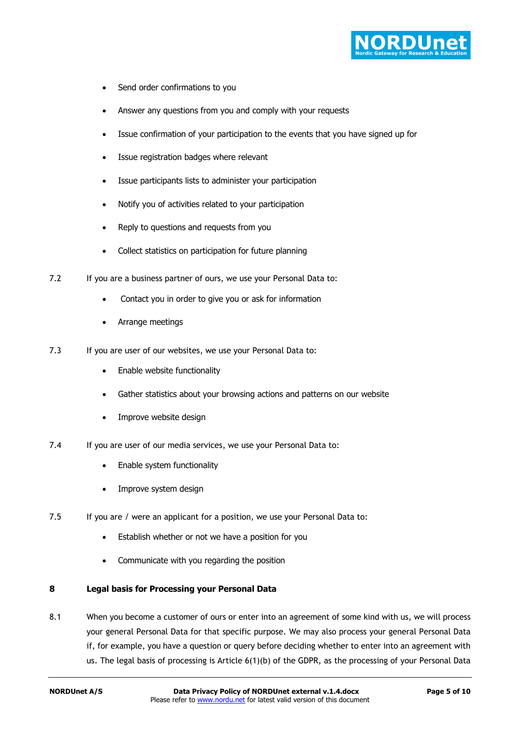

- Send order confirmations to you
- Answer any questions from you and comply with your requests
- Issue confirmation of your participation to the events that you have signed up for
- Issue registration badges where relevant
- Issue participants lists to administer your participation
- Notify you of activities related to your participation
- Reply to questions and requests from you
- Collect statistics on participation for future planning
- 7.2 If you are a business partner of ours, we use your Personal Data to:
	- Contact you in order to give you or ask for information
	- Arrange meetings
- 7.3 If you are user of our websites, we use your Personal Data to:
	- Enable website functionality
	- Gather statistics about your browsing actions and patterns on our website
	- Improve website design
- 7.4 If you are user of our media services, we use your Personal Data to:
	- Enable system functionality
	- Improve system design
- 7.5 If you are / were an applicant for a position, we use your Personal Data to:
	- Establish whether or not we have a position for you
	- Communicate with you regarding the position

# **8 Legal basis for Processing your Personal Data**

8.1 When you become a customer of ours or enter into an agreement of some kind with us, we will process your general Personal Data for that specific purpose. We may also process your general Personal Data if, for example, you have a question or query before deciding whether to enter into an agreement with us. The legal basis of processing is Article 6(1)(b) of the GDPR, as the processing of your Personal Data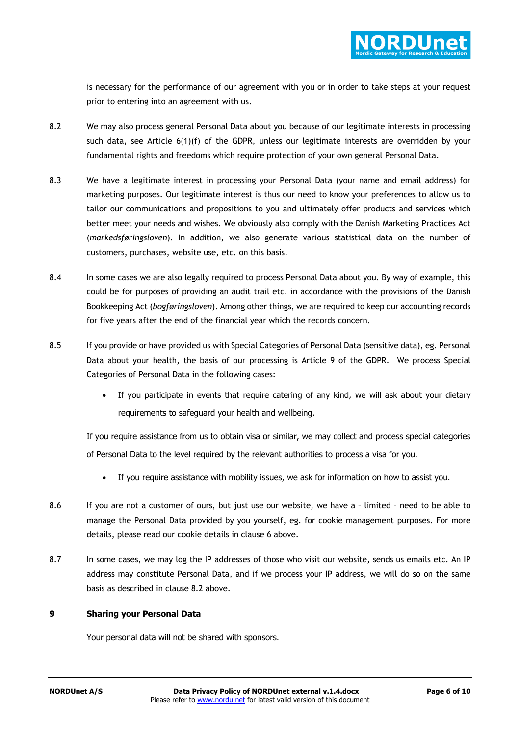

is necessary for the performance of our agreement with you or in order to take steps at your request prior to entering into an agreement with us.

- 8.2 We may also process general Personal Data about you because of our legitimate interests in processing such data, see Article 6(1)(f) of the GDPR, unless our legitimate interests are overridden by your fundamental rights and freedoms which require protection of your own general Personal Data.
- 8.3 We have a legitimate interest in processing your Personal Data (your name and email address) for marketing purposes. Our legitimate interest is thus our need to know your preferences to allow us to tailor our communications and propositions to you and ultimately offer products and services which better meet your needs and wishes. We obviously also comply with the Danish Marketing Practices Act (*markedsføringsloven*). In addition, we also generate various statistical data on the number of customers, purchases, website use, etc. on this basis.
- 8.4 In some cases we are also legally required to process Personal Data about you. By way of example, this could be for purposes of providing an audit trail etc. in accordance with the provisions of the Danish Bookkeeping Act (*bogføringsloven*). Among other things, we are required to keep our accounting records for five years after the end of the financial year which the records concern.
- 8.5 If you provide or have provided us with Special Categories of Personal Data (sensitive data), eg. Personal Data about your health, the basis of our processing is Article 9 of the GDPR. We process Special Categories of Personal Data in the following cases:
	- If you participate in events that require catering of any kind, we will ask about your dietary requirements to safeguard your health and wellbeing.

If you require assistance from us to obtain visa or similar, we may collect and process special categories of Personal Data to the level required by the relevant authorities to process a visa for you.

- If you require assistance with mobility issues, we ask for information on how to assist you.
- 8.6 If you are not a customer of ours, but just use our website, we have a limited need to be able to manage the Personal Data provided by you yourself, eg. for cookie management purposes. For more details, please read our cookie details in clause 6 above.
- 8.7 In some cases, we may log the IP addresses of those who visit our website, sends us emails etc. An IP address may constitute Personal Data, and if we process your IP address, we will do so on the same basis as described in clause 8.2 above.

# **9 Sharing your Personal Data**

Your personal data will not be shared with sponsors.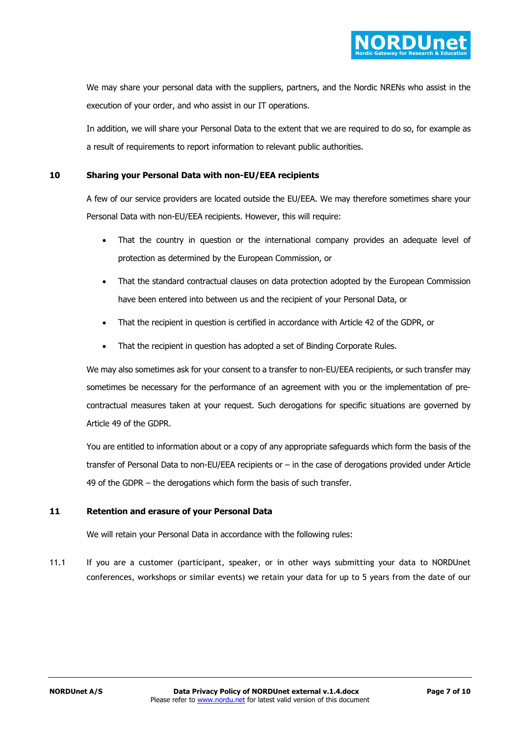We may share your personal data with the suppliers, partners, and the Nordic NRENs who assist in the execution of your order, and who assist in our IT operations.

In addition, we will share your Personal Data to the extent that we are required to do so, for example as a result of requirements to report information to relevant public authorities.

# **10 Sharing your Personal Data with non-EU/EEA recipients**

A few of our service providers are located outside the EU/EEA. We may therefore sometimes share your Personal Data with non-EU/EEA recipients. However, this will require:

- That the country in question or the international company provides an adequate level of protection as determined by the European Commission, or
- That the standard contractual clauses on data protection adopted by the European Commission have been entered into between us and the recipient of your Personal Data, or
- That the recipient in question is certified in accordance with Article 42 of the GDPR, or
- That the recipient in question has adopted a set of Binding Corporate Rules.

We may also sometimes ask for your consent to a transfer to non-EU/EEA recipients, or such transfer may sometimes be necessary for the performance of an agreement with you or the implementation of precontractual measures taken at your request. Such derogations for specific situations are governed by Article 49 of the GDPR.

You are entitled to information about or a copy of any appropriate safeguards which form the basis of the transfer of Personal Data to non-EU/EEA recipients or – in the case of derogations provided under Article 49 of the GDPR – the derogations which form the basis of such transfer.

# **11 Retention and erasure of your Personal Data**

We will retain your Personal Data in accordance with the following rules:

11.1 If you are a customer (participant, speaker, or in other ways submitting your data to NORDUnet conferences, workshops or similar events) we retain your data for up to 5 years from the date of our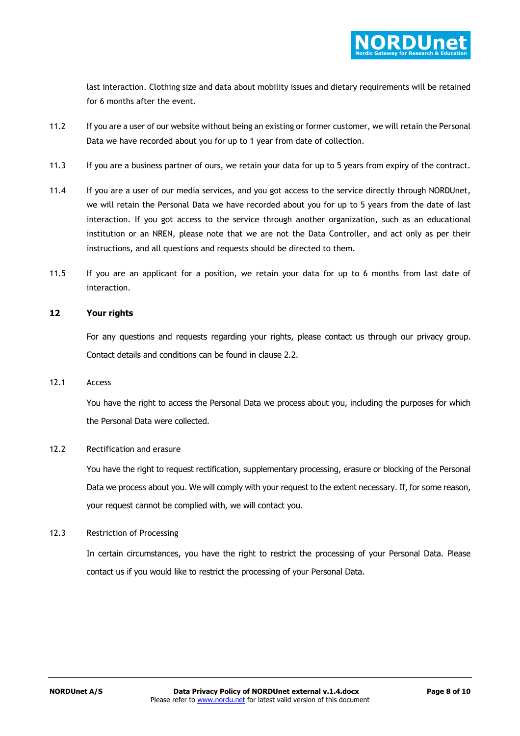last interaction. Clothing size and data about mobility issues and dietary requirements will be retained for 6 months after the event.

- 11.2 If you are a user of our website without being an existing or former customer, we will retain the Personal Data we have recorded about you for up to 1 year from date of collection.
- 11.3 If you are a business partner of ours, we retain your data for up to 5 years from expiry of the contract.
- 11.4 If you are a user of our media services, and you got access to the service directly through NORDUnet, we will retain the Personal Data we have recorded about you for up to 5 years from the date of last interaction. If you got access to the service through another organization, such as an educational institution or an NREN, please note that we are not the Data Controller, and act only as per their instructions, and all questions and requests should be directed to them.
- 11.5 If you are an applicant for a position, we retain your data for up to 6 months from last date of interaction.

# **12 Your rights**

For any questions and requests regarding your rights, please contact us through our privacy group. Contact details and conditions can be found in clause 2.2.

## 12.1 Access

You have the right to access the Personal Data we process about you, including the purposes for which the Personal Data were collected.

# 12.2 Rectification and erasure

You have the right to request rectification, supplementary processing, erasure or blocking of the Personal Data we process about you. We will comply with your request to the extent necessary. If, for some reason, your request cannot be complied with, we will contact you.

# 12.3 Restriction of Processing

In certain circumstances, you have the right to restrict the processing of your Personal Data. Please contact us if you would like to restrict the processing of your Personal Data.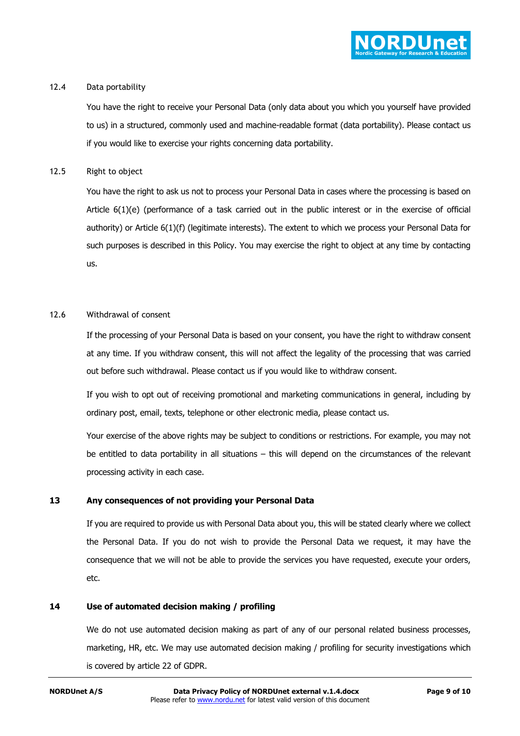

## 12.4 Data portability

You have the right to receive your Personal Data (only data about you which you yourself have provided to us) in a structured, commonly used and machine-readable format (data portability). Please contact us if you would like to exercise your rights concerning data portability.

## 12.5 Right to object

You have the right to ask us not to process your Personal Data in cases where the processing is based on Article 6(1)(e) (performance of a task carried out in the public interest or in the exercise of official authority) or Article 6(1)(f) (legitimate interests). The extent to which we process your Personal Data for such purposes is described in this Policy. You may exercise the right to object at any time by contacting us.

# 12.6 Withdrawal of consent

If the processing of your Personal Data is based on your consent, you have the right to withdraw consent at any time. If you withdraw consent, this will not affect the legality of the processing that was carried out before such withdrawal. Please contact us if you would like to withdraw consent.

If you wish to opt out of receiving promotional and marketing communications in general, including by ordinary post, email, texts, telephone or other electronic media, please contact us.

Your exercise of the above rights may be subject to conditions or restrictions. For example, you may not be entitled to data portability in all situations – this will depend on the circumstances of the relevant processing activity in each case.

# **13 Any consequences of not providing your Personal Data**

If you are required to provide us with Personal Data about you, this will be stated clearly where we collect the Personal Data. If you do not wish to provide the Personal Data we request, it may have the consequence that we will not be able to provide the services you have requested, execute your orders, etc.

# **14 Use of automated decision making / profiling**

We do not use automated decision making as part of any of our personal related business processes, marketing, HR, etc. We may use automated decision making / profiling for security investigations which is covered by article 22 of GDPR.